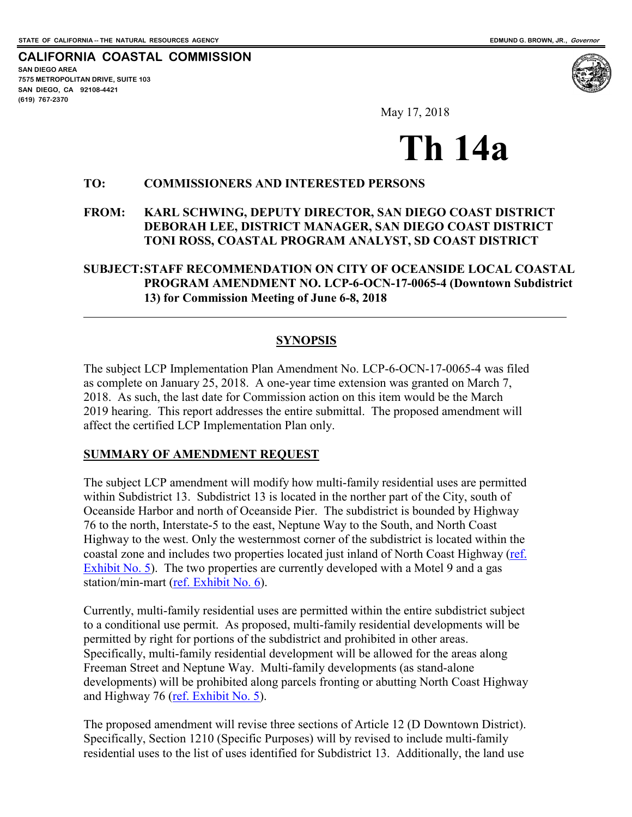$\overline{a}$ 

**CALIFORNIA COASTAL COMMISSION SAN DIEGO AREA 7575 METROPOLITAN DRIVE, SUITE 103 SAN DIEGO, CA 92108-4421 (619) 767-2370**



May 17, 2018

# **Th 14a**

#### **TO: COMMISSIONERS AND INTERESTED PERSONS**

#### **FROM: KARL SCHWING, DEPUTY DIRECTOR, SAN DIEGO COAST DISTRICT DEBORAH LEE, DISTRICT MANAGER, SAN DIEGO COAST DISTRICT TONI ROSS, COASTAL PROGRAM ANALYST, SD COAST DISTRICT**

#### **SUBJECT:STAFF RECOMMENDATION ON CITY OF OCEANSIDE LOCAL COASTAL PROGRAM AMENDMENT NO. LCP-6-OCN-17-0065-4 (Downtown Subdistrict 13) for Commission Meeting of June 6-8, 2018**

#### **SYNOPSIS**

The subject LCP Implementation Plan Amendment No. LCP-6-OCN-17-0065-4 was filed as complete on January 25, 2018. A one-year time extension was granted on March 7, 2018. As such, the last date for Commission action on this item would be the March 2019 hearing. This report addresses the entire submittal. The proposed amendment will affect the certified LCP Implementation Plan only.

#### **SUMMARY OF AMENDMENT REQUEST**

The subject LCP amendment will modify how multi-family residential uses are permitted within Subdistrict 13. Subdistrict 13 is located in the norther part of the City, south of Oceanside Harbor and north of Oceanside Pier. The subdistrict is bounded by Highway 76 to the north, Interstate-5 to the east, Neptune Way to the South, and North Coast Highway to the west. Only the westernmost corner of the subdistrict is located within the coastal zone and includes two properties located just inland of North Coast Highway (ref. [Exhibit No. 5\)](https://documents.coastal.ca.gov/reports/2018/6/th14a/th14a-6-2018-exhibits.pdf). The two properties are currently developed with a Motel 9 and a gas station/min-mart [\(ref. Exhibit No. 6\)](https://documents.coastal.ca.gov/reports/2018/6/th14a/th14a-6-2018-exhibits.pdf).

Currently, multi-family residential uses are permitted within the entire subdistrict subject to a conditional use permit. As proposed, multi-family residential developments will be permitted by right for portions of the subdistrict and prohibited in other areas. Specifically, multi-family residential development will be allowed for the areas along Freeman Street and Neptune Way. Multi-family developments (as stand-alone developments) will be prohibited along parcels fronting or abutting North Coast Highway and Highway 76 [\(ref. Exhibit No. 5\)](https://documents.coastal.ca.gov/reports/2018/6/th14a/th14a-6-2018-exhibits.pdf).

The proposed amendment will revise three sections of Article 12 (D Downtown District). Specifically, Section 1210 (Specific Purposes) will by revised to include multi-family residential uses to the list of uses identified for Subdistrict 13. Additionally, the land use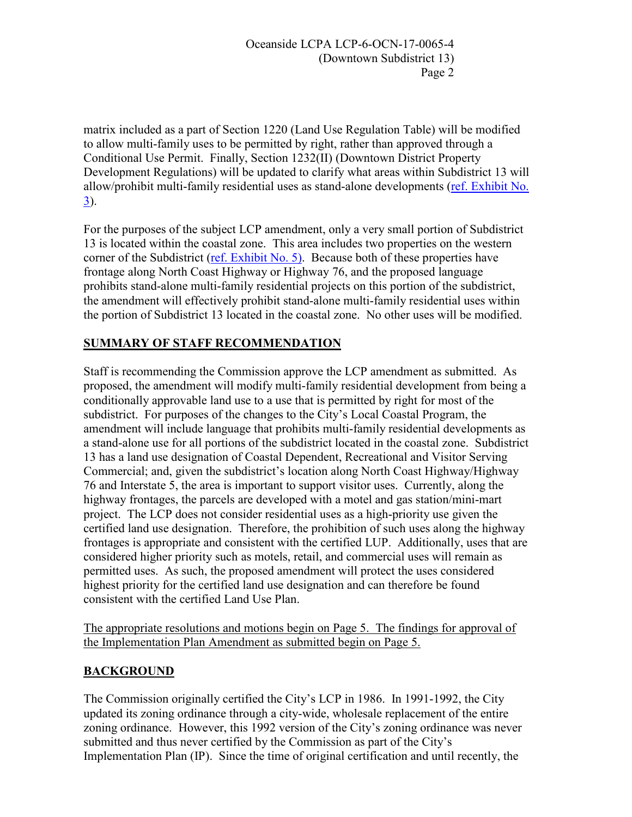matrix included as a part of Section 1220 (Land Use Regulation Table) will be modified to allow multi-family uses to be permitted by right, rather than approved through a Conditional Use Permit. Finally, Section 1232(II) (Downtown District Property Development Regulations) will be updated to clarify what areas within Subdistrict 13 will allow/prohibit multi-family residential uses as stand-alone developments [\(ref. Exhibit No.](https://documents.coastal.ca.gov/reports/2018/6/th14a/th14a-6-2018-exhibits.pdf)  [3\)](https://documents.coastal.ca.gov/reports/2018/6/th14a/th14a-6-2018-exhibits.pdf).

For the purposes of the subject LCP amendment, only a very small portion of Subdistrict 13 is located within the coastal zone. This area includes two properties on the western corner of the Subdistrict [\(ref. Exhibit No. 5\).](https://documents.coastal.ca.gov/reports/2018/6/th14a/th14a-6-2018-exhibits.pdf) Because both of these properties have frontage along North Coast Highway or Highway 76, and the proposed language prohibits stand-alone multi-family residential projects on this portion of the subdistrict, the amendment will effectively prohibit stand-alone multi-family residential uses within the portion of Subdistrict 13 located in the coastal zone. No other uses will be modified.

# **SUMMARY OF STAFF RECOMMENDATION**

Staff is recommending the Commission approve the LCP amendment as submitted. As proposed, the amendment will modify multi-family residential development from being a conditionally approvable land use to a use that is permitted by right for most of the subdistrict. For purposes of the changes to the City's Local Coastal Program, the amendment will include language that prohibits multi-family residential developments as a stand-alone use for all portions of the subdistrict located in the coastal zone. Subdistrict 13 has a land use designation of Coastal Dependent, Recreational and Visitor Serving Commercial; and, given the subdistrict's location along North Coast Highway/Highway 76 and Interstate 5, the area is important to support visitor uses. Currently, along the highway frontages, the parcels are developed with a motel and gas station/mini-mart project. The LCP does not consider residential uses as a high-priority use given the certified land use designation. Therefore, the prohibition of such uses along the highway frontages is appropriate and consistent with the certified LUP. Additionally, uses that are considered higher priority such as motels, retail, and commercial uses will remain as permitted uses. As such, the proposed amendment will protect the uses considered highest priority for the certified land use designation and can therefore be found consistent with the certified Land Use Plan.

The appropriate resolutions and motions begin on Page 5. The findings for approval of the Implementation Plan Amendment as submitted begin on Page 5.

## **BACKGROUND**

The Commission originally certified the City's LCP in 1986. In 1991-1992, the City updated its zoning ordinance through a city-wide, wholesale replacement of the entire zoning ordinance. However, this 1992 version of the City's zoning ordinance was never submitted and thus never certified by the Commission as part of the City's Implementation Plan (IP). Since the time of original certification and until recently, the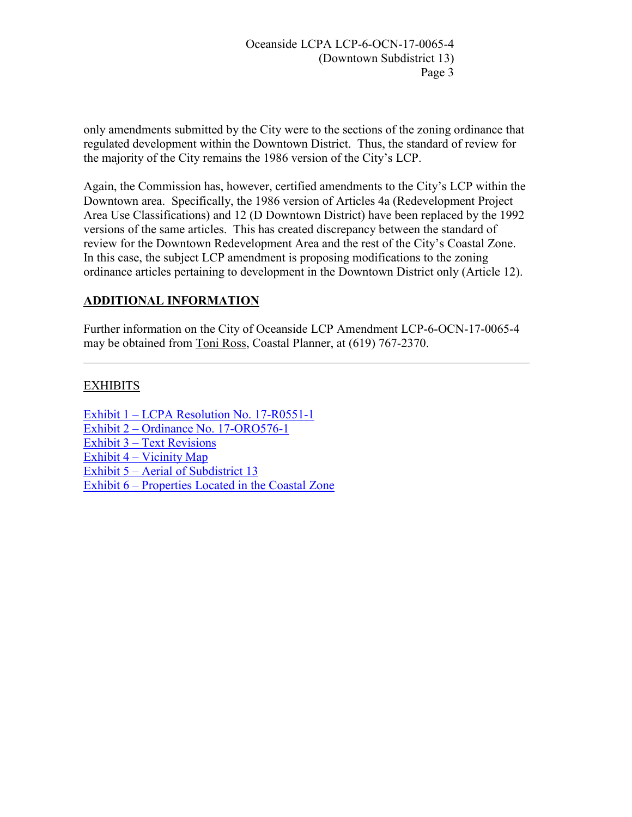Oceanside LCPA LCP-6-OCN-17-0065-4 (Downtown Subdistrict 13) Page 3

only amendments submitted by the City were to the sections of the zoning ordinance that regulated development within the Downtown District. Thus, the standard of review for the majority of the City remains the 1986 version of the City's LCP.

Again, the Commission has, however, certified amendments to the City's LCP within the Downtown area. Specifically, the 1986 version of Articles 4a (Redevelopment Project Area Use Classifications) and 12 (D Downtown District) have been replaced by the 1992 versions of the same articles. This has created discrepancy between the standard of review for the Downtown Redevelopment Area and the rest of the City's Coastal Zone. In this case, the subject LCP amendment is proposing modifications to the zoning ordinance articles pertaining to development in the Downtown District only (Article 12).

## **ADDITIONAL INFORMATION**

Further information on the City of Oceanside LCP Amendment LCP-6-OCN-17-0065-4 may be obtained from Toni Ross, Coastal Planner, at (619) 767-2370.

#### **EXHIBITS**

 $\overline{a}$ 

[Exhibit 1 – LCPA Resolution No. 17-R0551-1](https://documents.coastal.ca.gov/reports/2018/6/th14a/th14a-6-2018-exhibits.pdf)  [Exhibit 2 – Ordinance No. 17-ORO576-1](https://documents.coastal.ca.gov/reports/2018/6/th14a/th14a-6-2018-exhibits.pdf)  [Exhibit 3 – Text Revisions](https://documents.coastal.ca.gov/reports/2018/6/th14a/th14a-6-2018-exhibits.pdf) Exhibit  $4 -$  Vicinity Map [Exhibit 5 – Aerial of Subdistrict 13](https://documents.coastal.ca.gov/reports/2018/6/th14a/th14a-6-2018-exhibits.pdf)  [Exhibit 6 – Properties Located in the Coastal Zone](https://documents.coastal.ca.gov/reports/2018/6/th14a/th14a-6-2018-exhibits.pdf)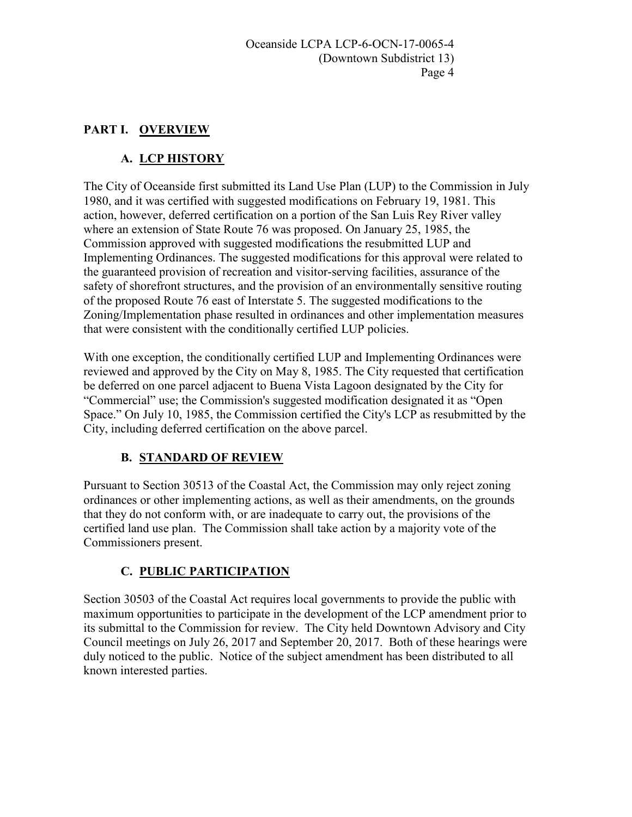## **PART I. OVERVIEW**

# **A. LCP HISTORY**

The City of Oceanside first submitted its Land Use Plan (LUP) to the Commission in July 1980, and it was certified with suggested modifications on February 19, 1981. This action, however, deferred certification on a portion of the San Luis Rey River valley where an extension of State Route 76 was proposed. On January 25, 1985, the Commission approved with suggested modifications the resubmitted LUP and Implementing Ordinances. The suggested modifications for this approval were related to the guaranteed provision of recreation and visitor-serving facilities, assurance of the safety of shorefront structures, and the provision of an environmentally sensitive routing of the proposed Route 76 east of Interstate 5. The suggested modifications to the Zoning/Implementation phase resulted in ordinances and other implementation measures that were consistent with the conditionally certified LUP policies.

With one exception, the conditionally certified LUP and Implementing Ordinances were reviewed and approved by the City on May 8, 1985. The City requested that certification be deferred on one parcel adjacent to Buena Vista Lagoon designated by the City for "Commercial" use; the Commission's suggested modification designated it as "Open Space." On July 10, 1985, the Commission certified the City's LCP as resubmitted by the City, including deferred certification on the above parcel.

## **B. STANDARD OF REVIEW**

Pursuant to Section 30513 of the Coastal Act, the Commission may only reject zoning ordinances or other implementing actions, as well as their amendments, on the grounds that they do not conform with, or are inadequate to carry out, the provisions of the certified land use plan. The Commission shall take action by a majority vote of the Commissioners present.

# **C. PUBLIC PARTICIPATION**

Section 30503 of the Coastal Act requires local governments to provide the public with maximum opportunities to participate in the development of the LCP amendment prior to its submittal to the Commission for review. The City held Downtown Advisory and City Council meetings on July 26, 2017 and September 20, 2017. Both of these hearings were duly noticed to the public. Notice of the subject amendment has been distributed to all known interested parties.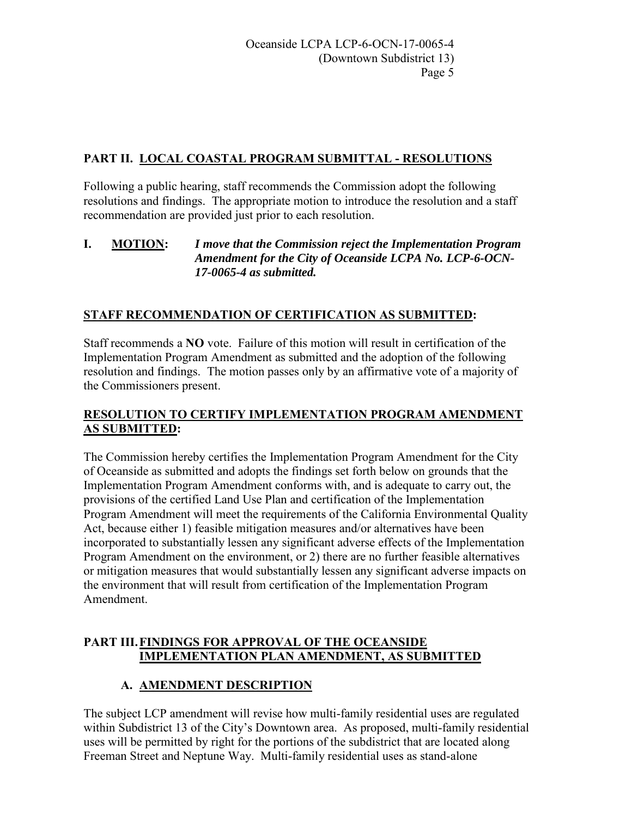## **PART II. LOCAL COASTAL PROGRAM SUBMITTAL - RESOLUTIONS**

Following a public hearing, staff recommends the Commission adopt the following resolutions and findings. The appropriate motion to introduce the resolution and a staff recommendation are provided just prior to each resolution.

#### **I. MOTION:** *I move that the Commission reject the Implementation Program Amendment for the City of Oceanside LCPA No. LCP-6-OCN-17-0065-4 as submitted.*

# **STAFF RECOMMENDATION OF CERTIFICATION AS SUBMITTED:**

Staff recommends a **NO** vote. Failure of this motion will result in certification of the Implementation Program Amendment as submitted and the adoption of the following resolution and findings. The motion passes only by an affirmative vote of a majority of the Commissioners present.

## **RESOLUTION TO CERTIFY IMPLEMENTATION PROGRAM AMENDMENT AS SUBMITTED:**

The Commission hereby certifies the Implementation Program Amendment for the City of Oceanside as submitted and adopts the findings set forth below on grounds that the Implementation Program Amendment conforms with, and is adequate to carry out, the provisions of the certified Land Use Plan and certification of the Implementation Program Amendment will meet the requirements of the California Environmental Quality Act, because either 1) feasible mitigation measures and/or alternatives have been incorporated to substantially lessen any significant adverse effects of the Implementation Program Amendment on the environment, or 2) there are no further feasible alternatives or mitigation measures that would substantially lessen any significant adverse impacts on the environment that will result from certification of the Implementation Program Amendment.

## **PART III.FINDINGS FOR APPROVAL OF THE OCEANSIDE IMPLEMENTATION PLAN AMENDMENT, AS SUBMITTED**

## **A. AMENDMENT DESCRIPTION**

The subject LCP amendment will revise how multi-family residential uses are regulated within Subdistrict 13 of the City's Downtown area. As proposed, multi-family residential uses will be permitted by right for the portions of the subdistrict that are located along Freeman Street and Neptune Way. Multi-family residential uses as stand-alone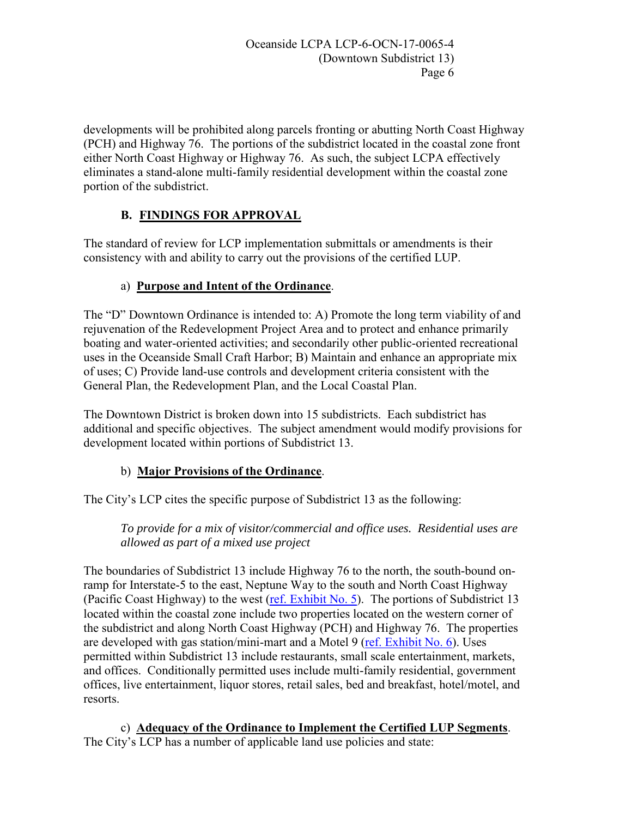developments will be prohibited along parcels fronting or abutting North Coast Highway (PCH) and Highway 76. The portions of the subdistrict located in the coastal zone front either North Coast Highway or Highway 76. As such, the subject LCPA effectively eliminates a stand-alone multi-family residential development within the coastal zone portion of the subdistrict.

# **B. FINDINGS FOR APPROVAL**

The standard of review for LCP implementation submittals or amendments is their consistency with and ability to carry out the provisions of the certified LUP.

# a) **Purpose and Intent of the Ordinance**.

The "D" Downtown Ordinance is intended to: A) Promote the long term viability of and rejuvenation of the Redevelopment Project Area and to protect and enhance primarily boating and water-oriented activities; and secondarily other public-oriented recreational uses in the Oceanside Small Craft Harbor; B) Maintain and enhance an appropriate mix of uses; C) Provide land-use controls and development criteria consistent with the General Plan, the Redevelopment Plan, and the Local Coastal Plan.

The Downtown District is broken down into 15 subdistricts. Each subdistrict has additional and specific objectives. The subject amendment would modify provisions for development located within portions of Subdistrict 13.

# b) **Major Provisions of the Ordinance**.

The City's LCP cites the specific purpose of Subdistrict 13 as the following:

*To provide for a mix of visitor/commercial and office uses. Residential uses are allowed as part of a mixed use project* 

The boundaries of Subdistrict 13 include Highway 76 to the north, the south-bound onramp for Interstate-5 to the east, Neptune Way to the south and North Coast Highway (Pacific Coast Highway) to the west [\(ref. Exhibit No. 5\)](https://documents.coastal.ca.gov/reports/2018/6/th14a/th14a-6-2018-exhibits.pdf). The portions of Subdistrict 13 located within the coastal zone include two properties located on the western corner of the subdistrict and along North Coast Highway (PCH) and Highway 76. The properties are developed with gas station/mini-mart and a Motel 9 [\(ref. Exhibit No. 6\)](https://documents.coastal.ca.gov/reports/2018/6/th14a/th14a-6-2018-exhibits.pdf). Uses permitted within Subdistrict 13 include restaurants, small scale entertainment, markets, and offices. Conditionally permitted uses include multi-family residential, government offices, live entertainment, liquor stores, retail sales, bed and breakfast, hotel/motel, and resorts.

c) **Adequacy of the Ordinance to Implement the Certified LUP Segments**. The City's LCP has a number of applicable land use policies and state: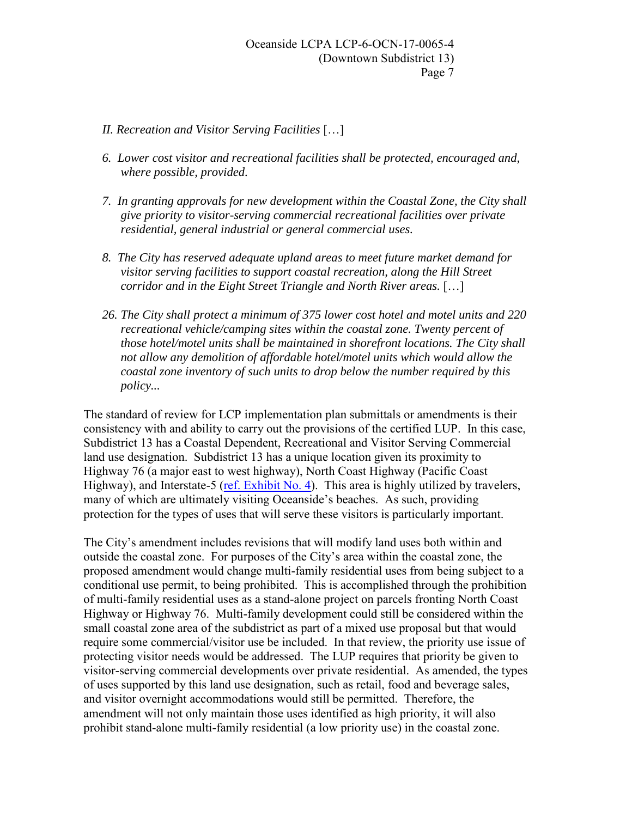- *II. Recreation and Visitor Serving Facilities* […]
- *6. Lower cost visitor and recreational facilities shall be protected, encouraged and, where possible, provided.*
- *7. In granting approvals for new development within the Coastal Zone, the City shall give priority to visitor-serving commercial recreational facilities over private residential, general industrial or general commercial uses.*
- *8. The City has reserved adequate upland areas to meet future market demand for visitor serving facilities to support coastal recreation, along the Hill Street corridor and in the Eight Street Triangle and North River areas.* […]
- *26. The City shall protect a minimum of 375 lower cost hotel and motel units and 220 recreational vehicle/camping sites within the coastal zone. Twenty percent of those hotel/motel units shall be maintained in shorefront locations. The City shall not allow any demolition of affordable hotel/motel units which would allow the coastal zone inventory of such units to drop below the number required by this policy...*

The standard of review for LCP implementation plan submittals or amendments is their consistency with and ability to carry out the provisions of the certified LUP. In this case, Subdistrict 13 has a Coastal Dependent, Recreational and Visitor Serving Commercial land use designation. Subdistrict 13 has a unique location given its proximity to Highway 76 (a major east to west highway), North Coast Highway (Pacific Coast Highway), and Interstate-5 [\(ref. Exhibit No. 4\)](https://documents.coastal.ca.gov/reports/2018/6/th14a/th14a-6-2018-exhibits.pdf). This area is highly utilized by travelers, many of which are ultimately visiting Oceanside's beaches. As such, providing protection for the types of uses that will serve these visitors is particularly important.

The City's amendment includes revisions that will modify land uses both within and outside the coastal zone. For purposes of the City's area within the coastal zone, the proposed amendment would change multi-family residential uses from being subject to a conditional use permit, to being prohibited. This is accomplished through the prohibition of multi-family residential uses as a stand-alone project on parcels fronting North Coast Highway or Highway 76. Multi-family development could still be considered within the small coastal zone area of the subdistrict as part of a mixed use proposal but that would require some commercial/visitor use be included. In that review, the priority use issue of protecting visitor needs would be addressed. The LUP requires that priority be given to visitor-serving commercial developments over private residential. As amended, the types of uses supported by this land use designation, such as retail, food and beverage sales, and visitor overnight accommodations would still be permitted. Therefore, the amendment will not only maintain those uses identified as high priority, it will also prohibit stand-alone multi-family residential (a low priority use) in the coastal zone.